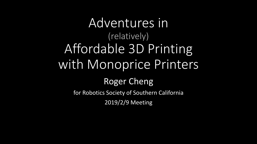# Adventures in (relatively) Affordable 3D Printing with Monoprice Printers

#### Roger Cheng

for Robotics Society of Southern California

2019/2/9 Meeting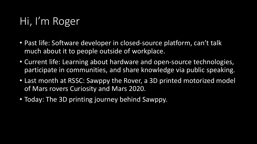# Hi, I'm Roger

- Past life: Software developer in closed-source platform, can't talk much about it to people outside of workplace.
- Current life: Learning about hardware and open-source technologies, participate in communities, and share knowledge via public speaking.
- Last month at RSSC: Sawppy the Rover, a 3D printed motorized model of Mars rovers Curiosity and Mars 2020.
- Today: The 3D printing journey behind Sawppy.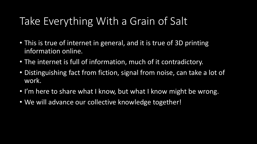# Take Everything With a Grain of Salt

- This is true of internet in general, and it is true of 3D printing information online.
- The internet is full of information, much of it contradictory.
- Distinguishing fact from fiction, signal from noise, can take a lot of work.
- I'm here to share what I know, but what I know might be wrong.
- We will advance our collective knowledge together!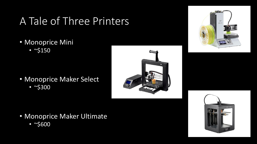# A Tale of Three Printers

- Monoprice Mini  $• < 5150$ 
	-

- Monoprice Maker Select
	- ~\$300





- Monoprice Maker Ultimate
	- ~\$600

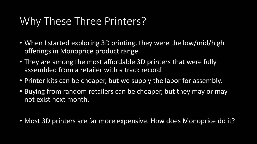# Why These Three Printers?

- When I started exploring 3D printing, they were the low/mid/high offerings in Monoprice product range.
- They are among the most affordable 3D printers that were fully assembled from a retailer with a track record.
- Printer kits can be cheaper, but we supply the labor for assembly.
- Buying from random retailers can be cheaper, but they may or may not exist next month.
- Most 3D printers are far more expensive. How does Monoprice do it?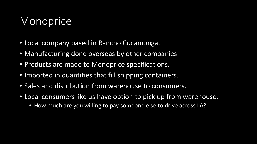# **Monoprice**

- Local company based in Rancho Cucamonga.
- Manufacturing done overseas by other companies.
- Products are made to Monoprice specifications.
- Imported in quantities that fill shipping containers.
- Sales and distribution from warehouse to consumers.
- Local consumers like us have option to pick up from warehouse.
	- How much are you willing to pay someone else to drive across LA?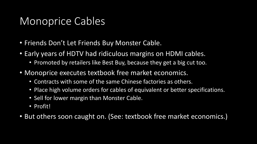# Monoprice Cables

- Friends Don't Let Friends Buy Monster Cable.
- Early years of HDTV had ridiculous margins on HDMI cables.
	- Promoted by retailers like Best Buy, because they get a big cut too.
- Monoprice executes textbook free market economics.
	- Contracts with some of the same Chinese factories as others.
	- Place high volume orders for cables of equivalent or better specifications.
	- Sell for lower margin than Monster Cable.
	- Profit!
- But others soon caught on. (See: textbook free market economics.)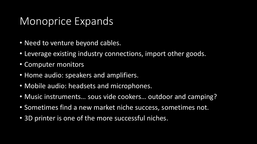# Monoprice Expands

- Need to venture beyond cables.
- Leverage existing industry connections, import other goods.
- Computer monitors
- Home audio: speakers and amplifiers.
- Mobile audio: headsets and microphones.
- Music instruments… sous vide cookers… outdoor and camping?
- Sometimes find a new market niche success, sometimes not.
- 3D printer is one of the more successful niches.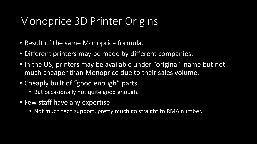# Monoprice 3D Printer Origins

- Result of the same Monoprice formula.
- Different printers may be made by different companies.
- In the US, printers may be available under "original" name but not much cheaper than Monoprice due to their sales volume.
- Cheaply built of "good enough" parts.
	- But occasionally not quite good enough.
- Few staff have any expertise
	- Not much tech support, pretty much go straight to RMA number.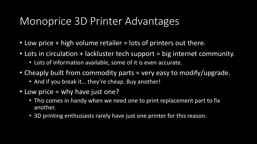#### Monoprice 3D Printer Advantages

- Low price + high volume retailer = lots of printers out there.
- Lots in circulation + lackluster tech support = big internet community.
	- Lots of information available, some of it is even accurate.
- Cheaply built from commodity parts = very easy to modify/upgrade.
	- And if you break it... they're cheap. Buy another!
- Low price = why have just one?
	- This comes in handy when we need one to print replacement part to fix another.
	- 3D printing enthusiasts rarely have just one printer for this reason.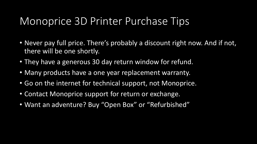#### Monoprice 3D Printer Purchase Tips

- Never pay full price. There's probably a discount right now. And if not, there will be one shortly.
- They have a generous 30 day return window for refund.
- Many products have a one year replacement warranty.
- Go on the internet for technical support, not Monoprice.
- Contact Monoprice support for return or exchange.
- Want an adventure? Buy "Open Box" or "Refurbished"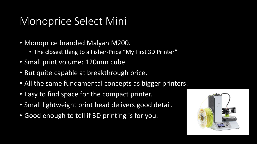# Monoprice Select Mini

- Monoprice branded Malyan M200.
	- The closest thing to a Fisher-Price "My First 3D Printer"
- Small print volume: 120mm cube
- But quite capable at breakthrough price.
- All the same fundamental concepts as bigger printers.
- Easy to find space for the compact printer.
- Small lightweight print head delivers good detail.
- Good enough to tell if 3D printing is for you.

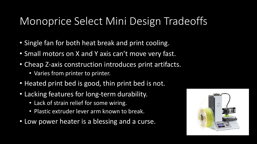# Monoprice Select Mini Design Tradeoffs

- Single fan for both heat break and print cooling.
- Small motors on X and Y axis can't move very fast.
- Cheap Z-axis construction introduces print artifacts.
	- Varies from printer to printer.
- Heated print bed is good, thin print bed is not.
- Lacking features for long-term durability.
	- Lack of strain relief for some wiring.
	- Plastic extruder lever arm known to break.
- Low power heater is a blessing and a curse.

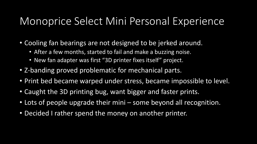#### Monoprice Select Mini Personal Experience

- Cooling fan bearings are not designed to be jerked around.
	- After a few months, started to fail and make a buzzing noise.
	- New fan adapter was first "3D printer fixes itself" project.
- Z-banding proved problematic for mechanical parts.
- Print bed became warped under stress, became impossible to level.
- Caught the 3D printing bug, want bigger and faster prints.
- Lots of people upgrade their mini some beyond all recognition.
- Decided I rather spend the money on another printer.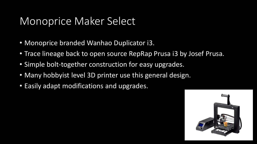# Monoprice Maker Select

- Monoprice branded Wanhao Duplicator i3.
- Trace lineage back to open source RepRap Prusa i3 by Josef Prusa.
- Simple bolt-together construction for easy upgrades.
- Many hobbyist level 3D printer use this general design.
- Easily adapt modifications and upgrades.

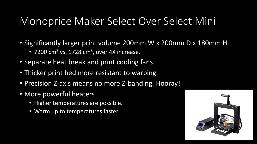# Monoprice Maker Select Over Select Mini

- Significantly larger print volume 200mm W x 200mm D x 180mm H • 7200  $\textsf{cm}^3$  vs. 1728  $\textsf{cm}^3$ , over 4X increase.
- Separate heat break and print cooling fans.
- Thicker print bed more resistant to warping.
- Precision Z-axis means no more Z-banding. Hooray!
- More powerful heaters
	- Higher temperatures are possible.
	- Warm up to temperatures faster.

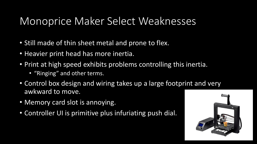# Monoprice Maker Select Weaknesses

- Still made of thin sheet metal and prone to flex.
- Heavier print head has more inertia.
- Print at high speed exhibits problems controlling this inertia.
	- "Ringing" and other terms.
- Control box design and wiring takes up a large footprint and very awkward to move.
- Memory card slot is annoying.
- Controller UI is primitive plus infuriating push dial.

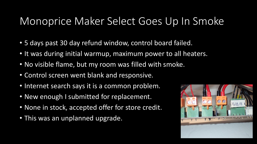#### Monoprice Maker Select Goes Up In Smoke

- 5 days past 30 day refund window, control board failed.
- It was during initial warmup, maximum power to all heaters.
- No visible flame, but my room was filled with smoke.
- Control screen went blank and responsive.
- Internet search says it is a common problem.
- New enough I submitted for replacement.
- None in stock, accepted offer for store credit.
- This was an unplanned upgrade.

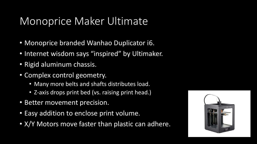# Monoprice Maker Ultimate

- Monoprice branded Wanhao Duplicator i6.
- Internet wisdom says "inspired" by Ultimaker.
- Rigid aluminum chassis.
- Complex control geometry.
	- Many more belts and shafts distributes load.
	- Z-axis drops print bed (vs. raising print head.)
- Better movement precision.
- Easy addition to enclose print volume.
- X/Y Motors move faster than plastic can adhere.

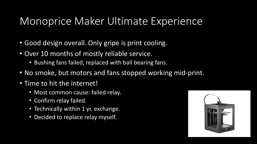#### Monoprice Maker Ultimate Experience

- Good design overall. Only gripe is print cooling.
- Over 10 months of mostly reliable service.
	- Bushing fans failed, replaced with ball bearing fans.
- No smoke, but motors and fans stopped working mid-print.
- Time to hit the internet!
	- Most common cause: failed relay.
	- Confirm relay failed.
	- Technically within 1 yr. exchange.
	- Decided to replace relay myself.

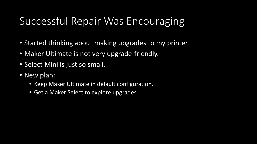# Successful Repair Was Encouraging

- Started thinking about making upgrades to my printer.
- Maker Ultimate is not very upgrade-friendly.
- Select Mini is just so small.
- New plan:
	- Keep Maker Ultimate in default configuration.
	- Get a Maker Select to explore upgrades.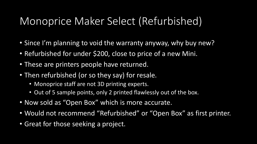# Monoprice Maker Select (Refurbished)

- Since I'm planning to void the warranty anyway, why buy new?
- Refurbished for under \$200, close to price of a new Mini.
- These are printers people have returned.
- Then refurbished (or so they say) for resale.
	- Monoprice staff are not 3D printing experts.
	- Out of 5 sample points, only 2 printed flawlessly out of the box.
- Now sold as "Open Box" which is more accurate.
- Would not recommend "Refurbished" or "Open Box" as first printer.
- Great for those seeking a project.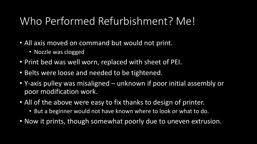# Who Performed Refurbishment? Me!

- All axis moved on command but would not print.
	- Nozzle was clogged
- Print bed was well worn, replaced with sheet of PEI.
- Belts were loose and needed to be tightened.
- Y-axis pulley was misaligned unknown if poor initial assembly or poor modification work.
- All of the above were easy to fix thanks to design of printer.
	- But a beginner would not have known where to look or what to do.
- Now it prints, though somewhat poorly due to uneven extrusion.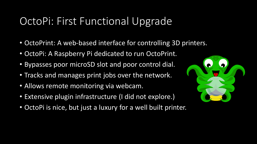#### OctoPi: First Functional Upgrade

- OctoPrint: A web-based interface for controlling 3D printers.
- OctoPi: A Raspberry Pi dedicated to run OctoPrint.
- Bypasses poor microSD slot and poor control dial.
- Tracks and manages print jobs over the network.
- Allows remote monitoring via webcam.
- Extensive plugin infrastructure (I did not explore.)
- OctoPi is nice, but just a luxury for a well built printer.

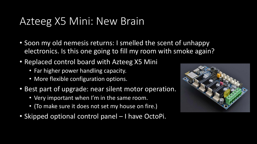#### Azteeg X5 Mini: New Brain

- Soon my old nemesis returns: I smelled the scent of unhappy electronics. Is this one going to fill my room with smoke again?
- Replaced control board with Azteeg X5 Mini
	- Far higher power handling capacity.
	- More flexible configuration options.
- Best part of upgrade: near silent motor operation.
	- Very important when I'm in the same room.
	- (To make sure it does not set my house on fire.)
- Skipped optional control panel I have OctoPi.

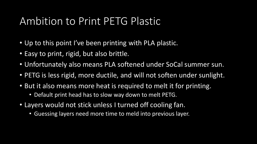#### Ambition to Print PETG Plastic

- Up to this point I've been printing with PLA plastic.
- Easy to print, rigid, but also brittle.
- Unfortunately also means PLA softened under SoCal summer sun.
- PETG is less rigid, more ductile, and will not soften under sunlight.
- But it also means more heat is required to melt it for printing.
	- Default print head has to slow way down to melt PETG.
- Layers would not stick unless I turned off cooling fan.
	- Guessing layers need more time to meld into previous layer.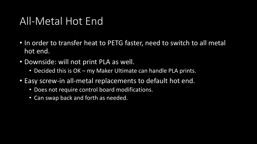# All-Metal Hot End

- In order to transfer heat to PETG faster, need to switch to all metal hot end.
- Downside: will not print PLA as well.
	- Decided this is OK my Maker Ultimate can handle PLA prints.
- Easy screw-in all-metal replacements to default hot end.
	- Does not require control board modifications.
	- Can swap back and forth as needed.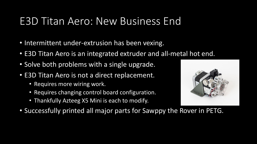#### E3D Titan Aero: New Business End

- Intermittent under-extrusion has been vexing.
- E3D Titan Aero is an integrated extruder and all-metal hot end.
- Solve both problems with a single upgrade.
- E3D Titan Aero is not a direct replacement.
	- Requires more wiring work.
	- Requires changing control board configuration.
	- Thankfully Azteeg X5 Mini is each to modify.



• Successfully printed all major parts for Sawppy the Rover in PETG.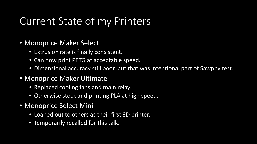# Current State of my Printers

- Monoprice Maker Select
	- Extrusion rate is finally consistent.
	- Can now print PETG at acceptable speed.
	- Dimensional accuracy still poor, but that was intentional part of Sawppy test.
- Monoprice Maker Ultimate
	- Replaced cooling fans and main relay.
	- Otherwise stock and printing PLA at high speed.
- Monoprice Select Mini
	- Loaned out to others as their first 3D printer.
	- Temporarily recalled for this talk.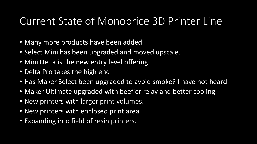# Current State of Monoprice 3D Printer Line

- Many more products have been added
- Select Mini has been upgraded and moved upscale.
- Mini Delta is the new entry level offering.
- Delta Pro takes the high end.
- Has Maker Select been upgraded to avoid smoke? I have not heard.
- Maker Ultimate upgraded with beefier relay and better cooling.
- New printers with larger print volumes.
- New printers with enclosed print area.
- Expanding into field of resin printers.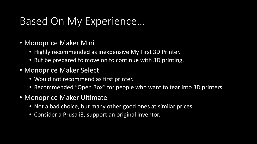# Based On My Experience…

- Monoprice Maker Mini
	- Highly recommended as inexpensive My First 3D Printer.
	- But be prepared to move on to continue with 3D printing.
- Monoprice Maker Select
	- Would not recommend as first printer.
	- Recommended "Open Box" for people who want to tear into 3D printers.
- Monoprice Maker Ultimate
	- Not a bad choice, but many other good ones at similar prices.
	- Consider a Prusa i3, support an original inventor.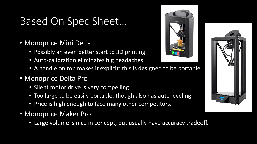# Based On Spec Sheet…

- Monoprice Mini Delta
	- Possibly an even better start to 3D printing.
	- Auto-calibration eliminates big headaches.
	- A handle on top makes it explicit: this is designed to be portable.
- Monoprice Delta Pro
	- Silent motor drive is very compelling.
	- Too large to be easily portable, though also has auto leveling.
	- Price is high enough to face many other competitors.
- Monoprice Maker Pro
	- Large volume is nice in concept, but usually have accuracy tradeoff.